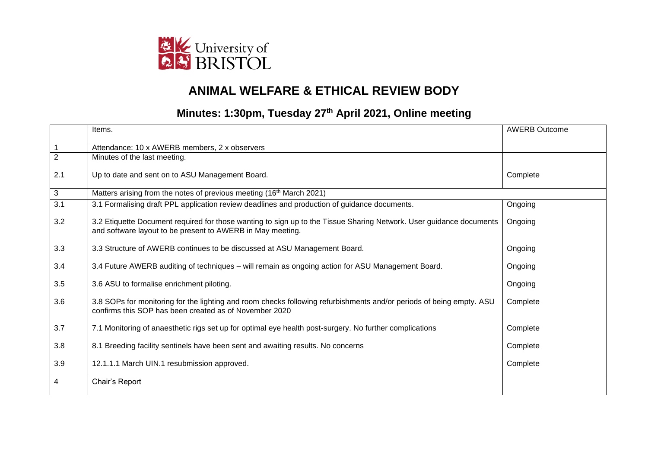

## **ANIMAL WELFARE & ETHICAL REVIEW BODY**

## **Minutes: 1:30pm, Tuesday 27th April 2021, Online meeting**

|                | Items.                                                                                                                                                                            | <b>AWERB Outcome</b> |
|----------------|-----------------------------------------------------------------------------------------------------------------------------------------------------------------------------------|----------------------|
|                | Attendance: 10 x AWERB members, 2 x observers                                                                                                                                     |                      |
| $\overline{2}$ | Minutes of the last meeting.                                                                                                                                                      |                      |
| 2.1            | Up to date and sent on to ASU Management Board.                                                                                                                                   | Complete             |
| 3              | Matters arising from the notes of previous meeting (16 <sup>th</sup> March 2021)                                                                                                  |                      |
| 3.1            | 3.1 Formalising draft PPL application review deadlines and production of guidance documents.                                                                                      | Ongoing              |
| 3.2            | 3.2 Etiquette Document required for those wanting to sign up to the Tissue Sharing Network. User guidance documents<br>and software layout to be present to AWERB in May meeting. | Ongoing              |
| 3.3            | 3.3 Structure of AWERB continues to be discussed at ASU Management Board.                                                                                                         | Ongoing              |
| 3.4            | 3.4 Future AWERB auditing of techniques – will remain as ongoing action for ASU Management Board.                                                                                 | Ongoing              |
| 3.5            | 3.6 ASU to formalise enrichment piloting.                                                                                                                                         | Ongoing              |
| 3.6            | 3.8 SOPs for monitoring for the lighting and room checks following refurbishments and/or periods of being empty. ASU<br>confirms this SOP has been created as of November 2020    | Complete             |
| 3.7            | 7.1 Monitoring of anaesthetic rigs set up for optimal eye health post-surgery. No further complications                                                                           | Complete             |
| 3.8            | 8.1 Breeding facility sentinels have been sent and awaiting results. No concerns                                                                                                  | Complete             |
| 3.9            | 12.1.1.1 March UIN.1 resubmission approved.                                                                                                                                       | Complete             |
| 4              | Chair's Report                                                                                                                                                                    |                      |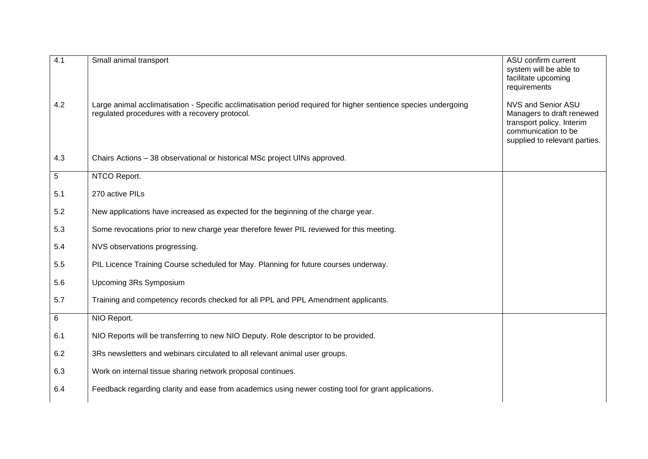| 4.1   | Small animal transport                                                                                                                                            | ASU confirm current<br>system will be able to<br>facilitate upcoming<br>requirements                                                 |
|-------|-------------------------------------------------------------------------------------------------------------------------------------------------------------------|--------------------------------------------------------------------------------------------------------------------------------------|
| 4.2   | Large animal acclimatisation - Specific acclimatisation period required for higher sentience species undergoing<br>regulated procedures with a recovery protocol. | NVS and Senior ASU<br>Managers to draft renewed<br>transport policy. Interim<br>communication to be<br>supplied to relevant parties. |
| 4.3   | Chairs Actions - 38 observational or historical MSc project UINs approved.                                                                                        |                                                                                                                                      |
| 5     | NTCO Report.                                                                                                                                                      |                                                                                                                                      |
| 5.1   | 270 active PILs                                                                                                                                                   |                                                                                                                                      |
| 5.2   | New applications have increased as expected for the beginning of the charge year.                                                                                 |                                                                                                                                      |
| 5.3   | Some revocations prior to new charge year therefore fewer PIL reviewed for this meeting.                                                                          |                                                                                                                                      |
| 5.4   | NVS observations progressing.                                                                                                                                     |                                                                                                                                      |
| 5.5   | PIL Licence Training Course scheduled for May. Planning for future courses underway.                                                                              |                                                                                                                                      |
| 5.6   | Upcoming 3Rs Symposium                                                                                                                                            |                                                                                                                                      |
| 5.7   | Training and competency records checked for all PPL and PPL Amendment applicants.                                                                                 |                                                                                                                                      |
| $\,6$ | NIO Report.                                                                                                                                                       |                                                                                                                                      |
| 6.1   | NIO Reports will be transferring to new NIO Deputy. Role descriptor to be provided.                                                                               |                                                                                                                                      |
| 6.2   | 3Rs newsletters and webinars circulated to all relevant animal user groups.                                                                                       |                                                                                                                                      |
| 6.3   | Work on internal tissue sharing network proposal continues.                                                                                                       |                                                                                                                                      |
| 6.4   | Feedback regarding clarity and ease from academics using newer costing tool for grant applications.                                                               |                                                                                                                                      |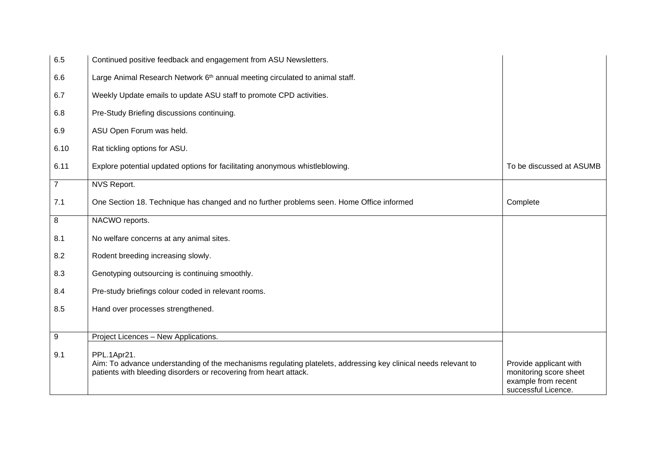| 6.5            | Continued positive feedback and engagement from ASU Newsletters.                                                                                                                                    |                                                                                                |
|----------------|-----------------------------------------------------------------------------------------------------------------------------------------------------------------------------------------------------|------------------------------------------------------------------------------------------------|
| 6.6            | Large Animal Research Network 6 <sup>th</sup> annual meeting circulated to animal staff.                                                                                                            |                                                                                                |
| 6.7            | Weekly Update emails to update ASU staff to promote CPD activities.                                                                                                                                 |                                                                                                |
| 6.8            | Pre-Study Briefing discussions continuing.                                                                                                                                                          |                                                                                                |
| 6.9            | ASU Open Forum was held.                                                                                                                                                                            |                                                                                                |
| 6.10           | Rat tickling options for ASU.                                                                                                                                                                       |                                                                                                |
| 6.11           | Explore potential updated options for facilitating anonymous whistleblowing.                                                                                                                        | To be discussed at ASUMB                                                                       |
| $\overline{7}$ | NVS Report.                                                                                                                                                                                         |                                                                                                |
| 7.1            | One Section 18. Technique has changed and no further problems seen. Home Office informed                                                                                                            | Complete                                                                                       |
| 8              | NACWO reports.                                                                                                                                                                                      |                                                                                                |
| 8.1            | No welfare concerns at any animal sites.                                                                                                                                                            |                                                                                                |
| 8.2            | Rodent breeding increasing slowly.                                                                                                                                                                  |                                                                                                |
| 8.3            | Genotyping outsourcing is continuing smoothly.                                                                                                                                                      |                                                                                                |
| 8.4            | Pre-study briefings colour coded in relevant rooms.                                                                                                                                                 |                                                                                                |
| 8.5            | Hand over processes strengthened.                                                                                                                                                                   |                                                                                                |
| 9              | Project Licences - New Applications.                                                                                                                                                                |                                                                                                |
| 9.1            | PPL.1Apr21.<br>Aim: To advance understanding of the mechanisms regulating platelets, addressing key clinical needs relevant to<br>patients with bleeding disorders or recovering from heart attack. | Provide applicant with<br>monitoring score sheet<br>example from recent<br>successful Licence. |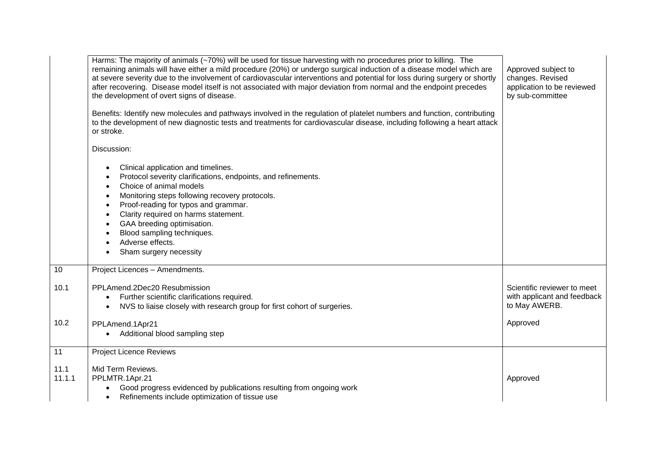|                 | Harms: The majority of animals (~70%) will be used for tissue harvesting with no procedures prior to killing. The<br>remaining animals will have either a mild procedure (20%) or undergo surgical induction of a disease model which are<br>at severe severity due to the involvement of cardiovascular interventions and potential for loss during surgery or shortly<br>after recovering. Disease model itself is not associated with major deviation from normal and the endpoint precedes<br>the development of overt signs of disease.<br>Benefits: Identify new molecules and pathways involved in the regulation of platelet numbers and function, contributing<br>to the development of new diagnostic tests and treatments for cardiovascular disease, including following a heart attack<br>or stroke. | Approved subject to<br>changes. Revised<br>application to be reviewed<br>by sub-committee |
|-----------------|-------------------------------------------------------------------------------------------------------------------------------------------------------------------------------------------------------------------------------------------------------------------------------------------------------------------------------------------------------------------------------------------------------------------------------------------------------------------------------------------------------------------------------------------------------------------------------------------------------------------------------------------------------------------------------------------------------------------------------------------------------------------------------------------------------------------|-------------------------------------------------------------------------------------------|
|                 | Discussion:                                                                                                                                                                                                                                                                                                                                                                                                                                                                                                                                                                                                                                                                                                                                                                                                       |                                                                                           |
|                 | Clinical application and timelines.<br>$\bullet$<br>Protocol severity clarifications, endpoints, and refinements.<br>$\bullet$<br>Choice of animal models<br>$\bullet$<br>Monitoring steps following recovery protocols.<br>$\bullet$<br>Proof-reading for typos and grammar.<br>$\bullet$<br>Clarity required on harms statement.<br>$\bullet$<br>GAA breeding optimisation.<br>$\bullet$<br>Blood sampling techniques.<br>$\bullet$<br>Adverse effects.<br>$\bullet$<br>Sham surgery necessity<br>$\bullet$                                                                                                                                                                                                                                                                                                     |                                                                                           |
| 10              | Project Licences - Amendments.                                                                                                                                                                                                                                                                                                                                                                                                                                                                                                                                                                                                                                                                                                                                                                                    |                                                                                           |
| 10.1            | PPLAmend.2Dec20 Resubmission<br>Further scientific clarifications required.<br>$\bullet$<br>NVS to liaise closely with research group for first cohort of surgeries.<br>$\bullet$                                                                                                                                                                                                                                                                                                                                                                                                                                                                                                                                                                                                                                 | Scientific reviewer to meet<br>with applicant and feedback<br>to May AWERB.               |
| 10.2            | PPLAmend.1Apr21<br>Additional blood sampling step                                                                                                                                                                                                                                                                                                                                                                                                                                                                                                                                                                                                                                                                                                                                                                 | Approved                                                                                  |
| $\overline{11}$ | <b>Project Licence Reviews</b>                                                                                                                                                                                                                                                                                                                                                                                                                                                                                                                                                                                                                                                                                                                                                                                    |                                                                                           |
| 11.1<br>11.1.1  | Mid Term Reviews.<br>PPLMTR.1Apr.21<br>Good progress evidenced by publications resulting from ongoing work<br>$\bullet$<br>Refinements include optimization of tissue use<br>$\bullet$                                                                                                                                                                                                                                                                                                                                                                                                                                                                                                                                                                                                                            | Approved                                                                                  |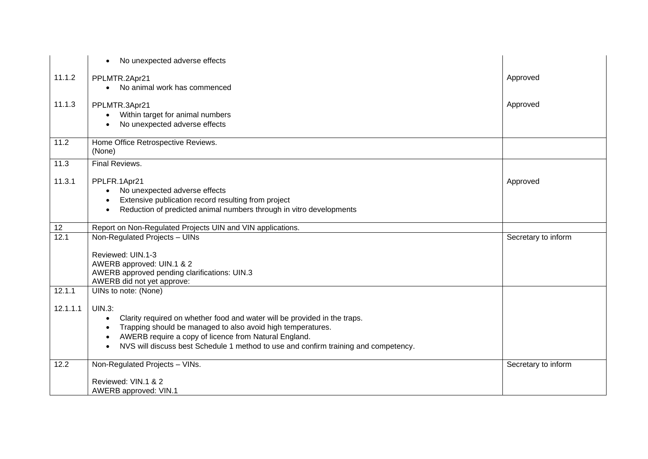|          | No unexpected adverse effects<br>$\bullet$                                                       |                     |
|----------|--------------------------------------------------------------------------------------------------|---------------------|
| 11.1.2   | PPLMTR.2Apr21                                                                                    | Approved            |
|          | No animal work has commenced<br>$\bullet$                                                        |                     |
| 11.1.3   | PPLMTR.3Apr21                                                                                    | Approved            |
|          | Within target for animal numbers<br>$\bullet$                                                    |                     |
|          | No unexpected adverse effects                                                                    |                     |
| 11.2     | Home Office Retrospective Reviews.                                                               |                     |
|          | (None)                                                                                           |                     |
| 11.3     | <b>Final Reviews.</b>                                                                            |                     |
| 11.3.1   | PPLFR.1Apr21                                                                                     | Approved            |
|          | No unexpected adverse effects<br>$\bullet$                                                       |                     |
|          | Extensive publication record resulting from project<br>$\bullet$                                 |                     |
|          | Reduction of predicted animal numbers through in vitro developments<br>$\bullet$                 |                     |
| 12       | Report on Non-Regulated Projects UIN and VIN applications.                                       |                     |
| 12.1     | Non-Regulated Projects - UINs                                                                    | Secretary to inform |
|          | Reviewed: UIN.1-3                                                                                |                     |
|          | AWERB approved: UIN.1 & 2                                                                        |                     |
|          | AWERB approved pending clarifications: UIN.3                                                     |                     |
|          | AWERB did not yet approve:                                                                       |                     |
| 12.1.1   | UINs to note: (None)                                                                             |                     |
| 12.1.1.1 | <b>UIN.3:</b>                                                                                    |                     |
|          | Clarity required on whether food and water will be provided in the traps.<br>$\bullet$           |                     |
|          | Trapping should be managed to also avoid high temperatures.<br>$\bullet$                         |                     |
|          | AWERB require a copy of licence from Natural England.<br>$\bullet$                               |                     |
|          | NVS will discuss best Schedule 1 method to use and confirm training and competency.<br>$\bullet$ |                     |
| 12.2     | Non-Regulated Projects - VINs.                                                                   | Secretary to inform |
|          | Reviewed: VIN.1 & 2                                                                              |                     |
|          | AWERB approved: VIN.1                                                                            |                     |